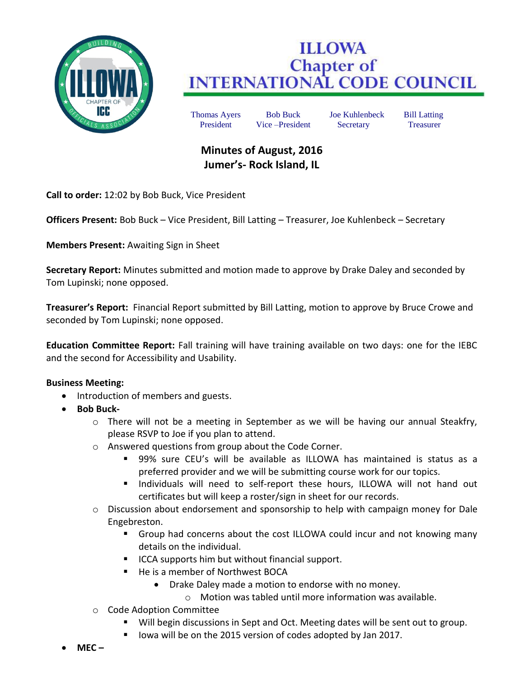

## **ILLOWA Chapter of<br>INTERNATIONAL CODE COUNCIL**

Thomas Ayers Bob Buck Joe Kuhlenbeck Bill Latting President Vice –President Secretary Treasurer

## **Minutes of August, 2016 Jumer's- Rock Island, IL**

**Call to order:** 12:02 by Bob Buck, Vice President

**Officers Present:** Bob Buck – Vice President, Bill Latting – Treasurer, Joe Kuhlenbeck – Secretary

**Members Present:** Awaiting Sign in Sheet

**Secretary Report:** Minutes submitted and motion made to approve by Drake Daley and seconded by Tom Lupinski; none opposed.

**Treasurer's Report:** Financial Report submitted by Bill Latting, motion to approve by Bruce Crowe and seconded by Tom Lupinski; none opposed.

**Education Committee Report:** Fall training will have training available on two days: one for the IEBC and the second for Accessibility and Usability.

## **Business Meeting:**

- Introduction of members and guests.
- **•** Bob Buck-
	- $\circ$  There will not be a meeting in September as we will be having our annual Steakfry, please RSVP to Joe if you plan to attend.
	- o Answered questions from group about the Code Corner.
		- 99% sure CEU's will be available as ILLOWA has maintained is status as a preferred provider and we will be submitting course work for our topics.
		- **Individuals will need to self-report these hours, ILLOWA will not hand out** certificates but will keep a roster/sign in sheet for our records.
	- $\circ$  Discussion about endorsement and sponsorship to help with campaign money for Dale Engebreston.
		- **Group had concerns about the cost ILLOWA could incur and not knowing many** details on the individual.
		- **ICCA supports him but without financial support.**
		- He is a member of Northwest BOCA
			- Drake Daley made a motion to endorse with no money.
				- o Motion was tabled until more information was available.
	- o Code Adoption Committee
		- Will begin discussions in Sept and Oct. Meeting dates will be sent out to group.
		- Iowa will be on the 2015 version of codes adopted by Jan 2017.